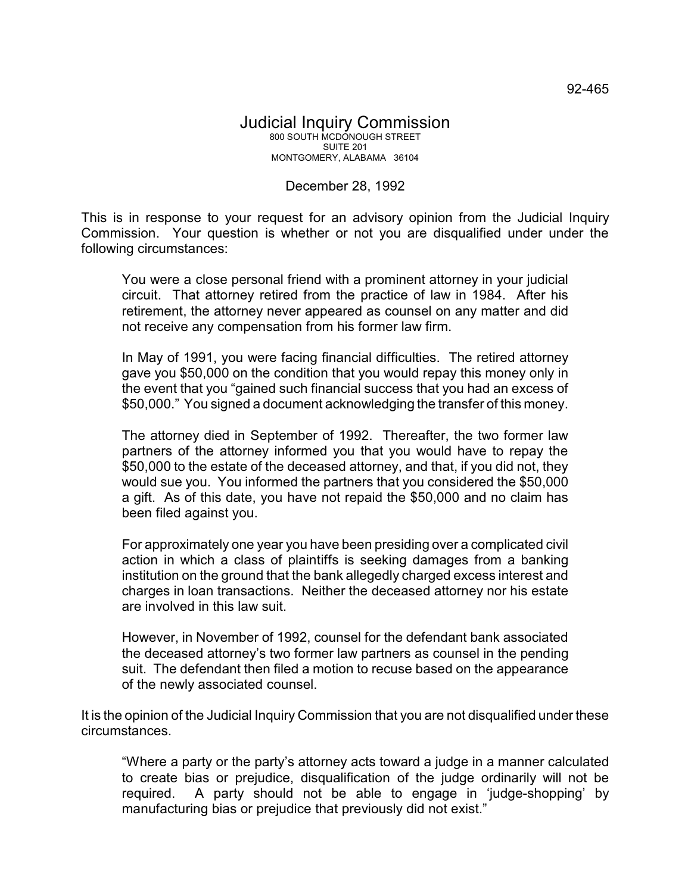## Judicial Inquiry Commission 800 SOUTH MCDONOUGH STREET SUITE 201 MONTGOMERY, ALABAMA 36104

## December 28, 1992

This is in response to your request for an advisory opinion from the Judicial Inquiry Commission. Your question is whether or not you are disqualified under under the following circumstances:

You were a close personal friend with a prominent attorney in your judicial circuit. That attorney retired from the practice of law in 1984. After his retirement, the attorney never appeared as counsel on any matter and did not receive any compensation from his former law firm.

In May of 1991, you were facing financial difficulties. The retired attorney gave you \$50,000 on the condition that you would repay this money only in the event that you "gained such financial success that you had an excess of \$50,000." You signed a document acknowledging the transfer of this money.

The attorney died in September of 1992. Thereafter, the two former law partners of the attorney informed you that you would have to repay the \$50,000 to the estate of the deceased attorney, and that, if you did not, they would sue you. You informed the partners that you considered the \$50,000 a gift. As of this date, you have not repaid the \$50,000 and no claim has been filed against you.

For approximately one year you have been presiding over a complicated civil action in which a class of plaintiffs is seeking damages from a banking institution on the ground that the bank allegedly charged excess interest and charges in loan transactions. Neither the deceased attorney nor his estate are involved in this law suit.

However, in November of 1992, counsel for the defendant bank associated the deceased attorney's two former law partners as counsel in the pending suit. The defendant then filed a motion to recuse based on the appearance of the newly associated counsel.

It is the opinion of the Judicial Inquiry Commission that you are not disqualified under these circumstances.

"Where a party or the party's attorney acts toward a judge in a manner calculated to create bias or prejudice, disqualification of the judge ordinarily will not be required. A party should not be able to engage in 'judge-shopping' by manufacturing bias or prejudice that previously did not exist."